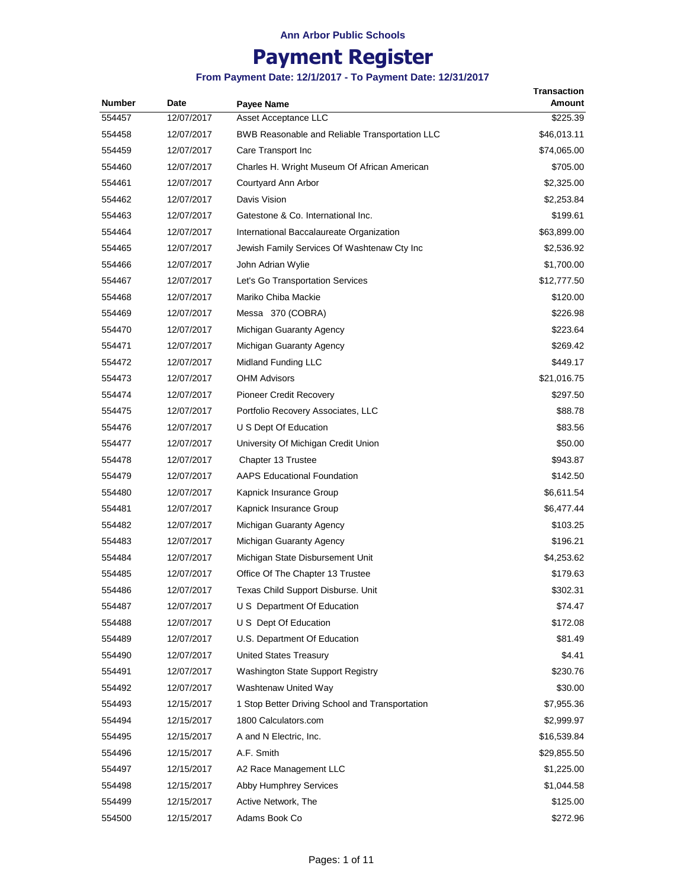# **Payment Register**

| <b>Number</b> | Date       | Payee Name                                      | <b>Transaction</b><br>Amount |
|---------------|------------|-------------------------------------------------|------------------------------|
| 554457        | 12/07/2017 | Asset Acceptance LLC                            | \$225.39                     |
| 554458        | 12/07/2017 | BWB Reasonable and Reliable Transportation LLC  | \$46,013.11                  |
| 554459        | 12/07/2017 | Care Transport Inc                              | \$74,065.00                  |
| 554460        | 12/07/2017 | Charles H. Wright Museum Of African American    | \$705.00                     |
| 554461        | 12/07/2017 | Courtyard Ann Arbor                             | \$2,325.00                   |
| 554462        | 12/07/2017 | Davis Vision                                    | \$2,253.84                   |
| 554463        | 12/07/2017 | Gatestone & Co. International Inc.              | \$199.61                     |
| 554464        | 12/07/2017 | International Baccalaureate Organization        | \$63,899.00                  |
| 554465        | 12/07/2017 | Jewish Family Services Of Washtenaw Cty Inc     | \$2,536.92                   |
| 554466        | 12/07/2017 | John Adrian Wylie                               | \$1,700.00                   |
| 554467        | 12/07/2017 | Let's Go Transportation Services                | \$12,777.50                  |
| 554468        | 12/07/2017 | Mariko Chiba Mackie                             | \$120.00                     |
| 554469        | 12/07/2017 | Messa 370 (COBRA)                               | \$226.98                     |
| 554470        | 12/07/2017 | Michigan Guaranty Agency                        | \$223.64                     |
| 554471        | 12/07/2017 | Michigan Guaranty Agency                        | \$269.42                     |
| 554472        | 12/07/2017 | Midland Funding LLC                             | \$449.17                     |
| 554473        | 12/07/2017 | <b>OHM Advisors</b>                             | \$21,016.75                  |
| 554474        | 12/07/2017 | <b>Pioneer Credit Recovery</b>                  | \$297.50                     |
| 554475        | 12/07/2017 | Portfolio Recovery Associates, LLC              | \$88.78                      |
| 554476        | 12/07/2017 | U S Dept Of Education                           | \$83.56                      |
| 554477        | 12/07/2017 | University Of Michigan Credit Union             | \$50.00                      |
| 554478        | 12/07/2017 | Chapter 13 Trustee                              | \$943.87                     |
| 554479        | 12/07/2017 | <b>AAPS Educational Foundation</b>              | \$142.50                     |
| 554480        | 12/07/2017 | Kapnick Insurance Group                         | \$6,611.54                   |
| 554481        | 12/07/2017 | Kapnick Insurance Group                         | \$6,477.44                   |
| 554482        | 12/07/2017 | Michigan Guaranty Agency                        | \$103.25                     |
| 554483        | 12/07/2017 | Michigan Guaranty Agency                        | \$196.21                     |
| 554484        | 12/07/2017 | Michigan State Disbursement Unit                | \$4,253.62                   |
| 554485        | 12/07/2017 | Office Of The Chapter 13 Trustee                | \$179.63                     |
| 554486        | 12/07/2017 | Texas Child Support Disburse. Unit              | \$302.31                     |
| 554487        | 12/07/2017 | U S Department Of Education                     | \$74.47                      |
| 554488        | 12/07/2017 | U S Dept Of Education                           | \$172.08                     |
| 554489        | 12/07/2017 | U.S. Department Of Education                    | \$81.49                      |
| 554490        | 12/07/2017 | United States Treasury                          | \$4.41                       |
| 554491        | 12/07/2017 | Washington State Support Registry               | \$230.76                     |
| 554492        | 12/07/2017 | Washtenaw United Way                            | \$30.00                      |
| 554493        | 12/15/2017 | 1 Stop Better Driving School and Transportation | \$7,955.36                   |
| 554494        | 12/15/2017 | 1800 Calculators.com                            | \$2,999.97                   |
| 554495        | 12/15/2017 | A and N Electric, Inc.                          | \$16,539.84                  |
| 554496        | 12/15/2017 | A.F. Smith                                      | \$29,855.50                  |
| 554497        | 12/15/2017 | A2 Race Management LLC                          | \$1,225.00                   |
| 554498        | 12/15/2017 | Abby Humphrey Services                          | \$1,044.58                   |
| 554499        | 12/15/2017 | Active Network, The                             | \$125.00                     |
| 554500        | 12/15/2017 | Adams Book Co                                   | \$272.96                     |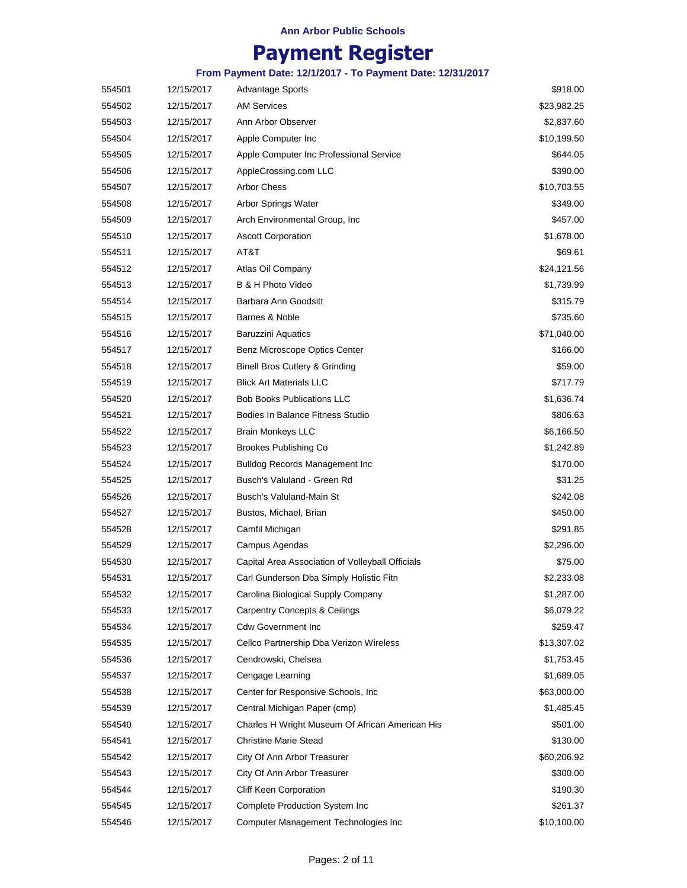# **Payment Register**

| 554501 | 12/15/2017 | <b>Advantage Sports</b>                          | \$918.00    |
|--------|------------|--------------------------------------------------|-------------|
| 554502 | 12/15/2017 | <b>AM Services</b>                               | \$23,982.25 |
| 554503 | 12/15/2017 | Ann Arbor Observer                               | \$2,837.60  |
| 554504 | 12/15/2017 | Apple Computer Inc                               | \$10,199.50 |
| 554505 | 12/15/2017 | Apple Computer Inc Professional Service          | \$644.05    |
| 554506 | 12/15/2017 | AppleCrossing.com LLC                            | \$390.00    |
| 554507 | 12/15/2017 | <b>Arbor Chess</b>                               | \$10,703.55 |
| 554508 | 12/15/2017 | Arbor Springs Water                              | \$349.00    |
| 554509 | 12/15/2017 | Arch Environmental Group, Inc.                   | \$457.00    |
| 554510 | 12/15/2017 | <b>Ascott Corporation</b>                        | \$1,678.00  |
| 554511 | 12/15/2017 | AT&T                                             | \$69.61     |
| 554512 | 12/15/2017 | Atlas Oil Company                                | \$24,121.56 |
| 554513 | 12/15/2017 | B & H Photo Video                                | \$1,739.99  |
| 554514 | 12/15/2017 | Barbara Ann Goodsitt                             | \$315.79    |
| 554515 | 12/15/2017 | Barnes & Noble                                   | \$735.60    |
| 554516 | 12/15/2017 | <b>Baruzzini Aquatics</b>                        | \$71,040.00 |
| 554517 | 12/15/2017 | Benz Microscope Optics Center                    | \$166.00    |
| 554518 | 12/15/2017 | Binell Bros Cutlery & Grinding                   | \$59.00     |
| 554519 | 12/15/2017 | <b>Blick Art Materials LLC</b>                   | \$717.79    |
| 554520 | 12/15/2017 | <b>Bob Books Publications LLC</b>                | \$1,636.74  |
| 554521 | 12/15/2017 | Bodies In Balance Fitness Studio                 | \$806.63    |
| 554522 | 12/15/2017 | <b>Brain Monkeys LLC</b>                         | \$6,166.50  |
| 554523 | 12/15/2017 | <b>Brookes Publishing Co</b>                     | \$1,242.89  |
| 554524 | 12/15/2017 | <b>Bulldog Records Management Inc.</b>           | \$170.00    |
| 554525 | 12/15/2017 | Busch's Valuland - Green Rd                      | \$31.25     |
| 554526 | 12/15/2017 | Busch's Valuland-Main St                         | \$242.08    |
| 554527 | 12/15/2017 | Bustos, Michael, Brian                           | \$450.00    |
| 554528 | 12/15/2017 | Camfil Michigan                                  | \$291.85    |
| 554529 | 12/15/2017 | Campus Agendas                                   | \$2,296.00  |
| 554530 | 12/15/2017 | Capital Area Association of Volleyball Officials | \$75.00     |
| 554531 | 12/15/2017 | Carl Gunderson Dba Simply Holistic Fitn          | \$2,233.08  |
| 554532 | 12/15/2017 | Carolina Biological Supply Company               | \$1,287.00  |
| 554533 | 12/15/2017 | Carpentry Concepts & Ceilings                    | \$6,079.22  |
| 554534 | 12/15/2017 | <b>Cdw Government Inc</b>                        | \$259.47    |
| 554535 | 12/15/2017 | Cellco Partnership Dba Verizon Wireless          | \$13,307.02 |
| 554536 | 12/15/2017 | Cendrowski, Chelsea                              | \$1,753.45  |
| 554537 | 12/15/2017 | Cengage Learning                                 | \$1,689.05  |
| 554538 | 12/15/2017 | Center for Responsive Schools, Inc               | \$63,000.00 |
| 554539 | 12/15/2017 | Central Michigan Paper (cmp)                     | \$1,485.45  |
| 554540 | 12/15/2017 | Charles H Wright Museum Of African American His  | \$501.00    |
| 554541 | 12/15/2017 | <b>Christine Marie Stead</b>                     | \$130.00    |
| 554542 | 12/15/2017 | City Of Ann Arbor Treasurer                      | \$60,206.92 |
| 554543 | 12/15/2017 | City Of Ann Arbor Treasurer                      | \$300.00    |
| 554544 | 12/15/2017 | <b>Cliff Keen Corporation</b>                    | \$190.30    |
| 554545 | 12/15/2017 | Complete Production System Inc                   | \$261.37    |
| 554546 | 12/15/2017 | Computer Management Technologies Inc             | \$10,100.00 |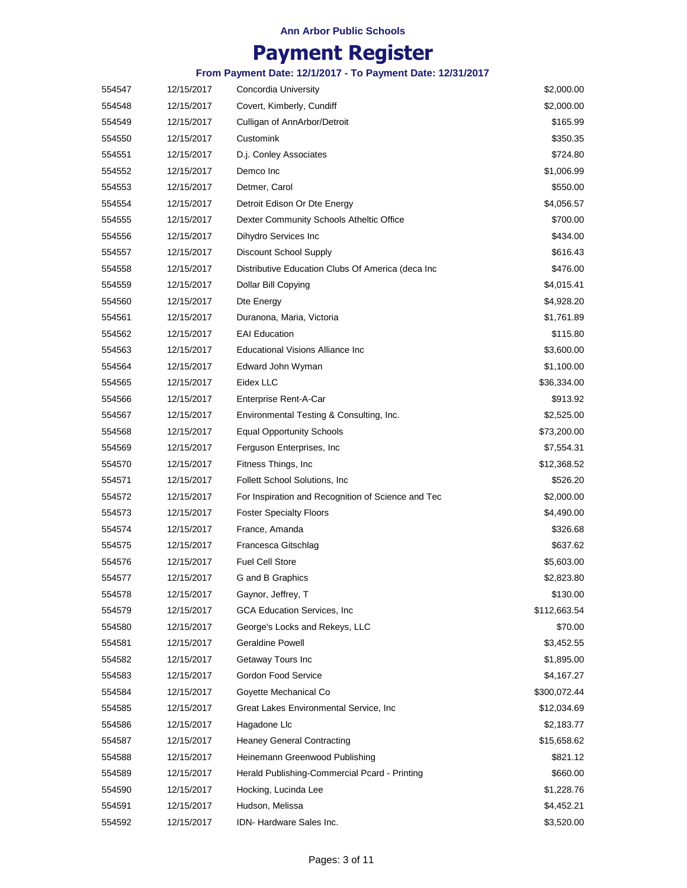# **Payment Register**

| 554547 | 12/15/2017 | Concordia University                               | \$2,000.00   |
|--------|------------|----------------------------------------------------|--------------|
| 554548 | 12/15/2017 | Covert, Kimberly, Cundiff                          | \$2,000.00   |
| 554549 | 12/15/2017 | Culligan of AnnArbor/Detroit                       | \$165.99     |
| 554550 | 12/15/2017 | Customink                                          | \$350.35     |
| 554551 | 12/15/2017 | D.j. Conley Associates                             | \$724.80     |
| 554552 | 12/15/2017 | Demco Inc                                          | \$1,006.99   |
| 554553 | 12/15/2017 | Detmer, Carol                                      | \$550.00     |
| 554554 | 12/15/2017 | Detroit Edison Or Dte Energy                       | \$4,056.57   |
| 554555 | 12/15/2017 | Dexter Community Schools Atheltic Office           | \$700.00     |
| 554556 | 12/15/2017 | Dihydro Services Inc                               | \$434.00     |
| 554557 | 12/15/2017 | Discount School Supply                             | \$616.43     |
| 554558 | 12/15/2017 | Distributive Education Clubs Of America (deca Inc  | \$476.00     |
| 554559 | 12/15/2017 | Dollar Bill Copying                                | \$4,015.41   |
| 554560 | 12/15/2017 | Dte Energy                                         | \$4,928.20   |
| 554561 | 12/15/2017 | Duranona, Maria, Victoria                          | \$1,761.89   |
| 554562 | 12/15/2017 | <b>EAI Education</b>                               | \$115.80     |
| 554563 | 12/15/2017 | <b>Educational Visions Alliance Inc</b>            | \$3,600.00   |
| 554564 | 12/15/2017 | Edward John Wyman                                  | \$1,100.00   |
| 554565 | 12/15/2017 | Eidex LLC                                          | \$36,334.00  |
| 554566 | 12/15/2017 | Enterprise Rent-A-Car                              | \$913.92     |
| 554567 | 12/15/2017 | Environmental Testing & Consulting, Inc.           | \$2,525.00   |
| 554568 | 12/15/2017 | <b>Equal Opportunity Schools</b>                   | \$73,200.00  |
| 554569 | 12/15/2017 | Ferguson Enterprises, Inc.                         | \$7,554.31   |
| 554570 | 12/15/2017 | Fitness Things, Inc.                               | \$12,368.52  |
| 554571 | 12/15/2017 | <b>Follett School Solutions, Inc.</b>              | \$526.20     |
| 554572 | 12/15/2017 | For Inspiration and Recognition of Science and Tec | \$2,000.00   |
| 554573 | 12/15/2017 | <b>Foster Specialty Floors</b>                     | \$4,490.00   |
| 554574 | 12/15/2017 | France, Amanda                                     | \$326.68     |
| 554575 | 12/15/2017 | Francesca Gitschlag                                | \$637.62     |
| 554576 | 12/15/2017 | <b>Fuel Cell Store</b>                             | \$5,603.00   |
| 554577 | 12/15/2017 | G and B Graphics                                   | \$2,823.80   |
| 554578 | 12/15/2017 | Gaynor, Jeffrey, T                                 | \$130.00     |
| 554579 | 12/15/2017 | <b>GCA Education Services, Inc.</b>                | \$112,663.54 |
| 554580 | 12/15/2017 | George's Locks and Rekeys, LLC                     | \$70.00      |
| 554581 | 12/15/2017 | <b>Geraldine Powell</b>                            | \$3,452.55   |
| 554582 | 12/15/2017 | Getaway Tours Inc                                  | \$1,895.00   |
| 554583 | 12/15/2017 | Gordon Food Service                                | \$4,167.27   |
| 554584 | 12/15/2017 | Goyette Mechanical Co                              | \$300,072.44 |
| 554585 | 12/15/2017 | Great Lakes Environmental Service, Inc.            | \$12,034.69  |
| 554586 | 12/15/2017 | Hagadone Llc                                       | \$2,183.77   |
| 554587 | 12/15/2017 | <b>Heaney General Contracting</b>                  | \$15,658.62  |
| 554588 | 12/15/2017 | Heinemann Greenwood Publishing                     | \$821.12     |
| 554589 | 12/15/2017 | Herald Publishing-Commercial Pcard - Printing      | \$660.00     |
| 554590 | 12/15/2017 | Hocking, Lucinda Lee                               | \$1,228.76   |
| 554591 | 12/15/2017 | Hudson, Melissa                                    | \$4,452.21   |
| 554592 | 12/15/2017 | IDN-Hardware Sales Inc.                            | \$3,520.00   |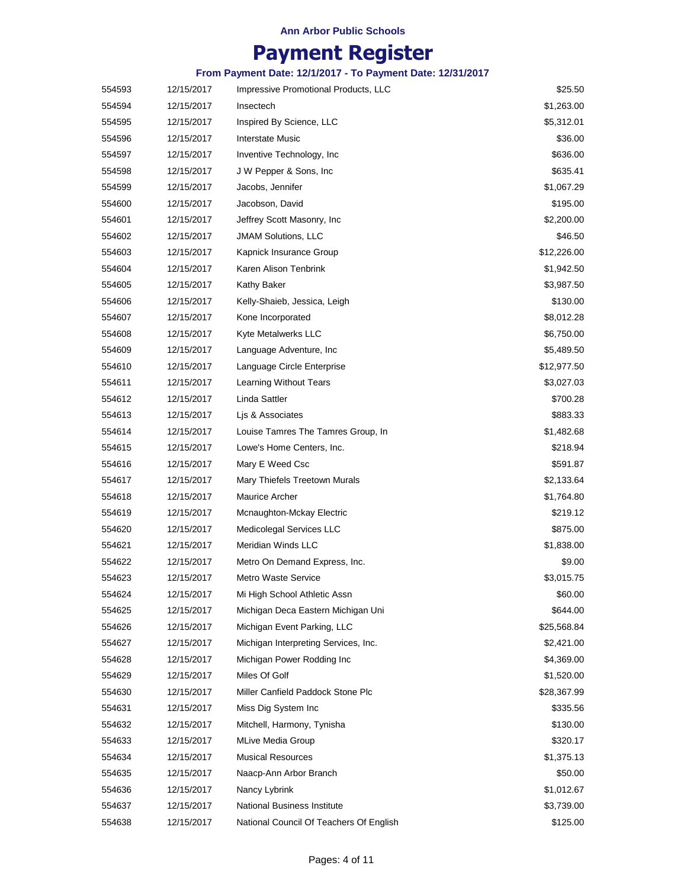# **Payment Register**

| 12/15/2017<br>Insectech<br>554594<br>12/15/2017<br>Inspired By Science, LLC<br>554595<br>554596<br>12/15/2017<br>Interstate Music<br>Inventive Technology, Inc.<br>554597<br>12/15/2017<br>12/15/2017<br>J W Pepper & Sons, Inc.<br>554598<br>12/15/2017<br>Jacobs, Jennifer<br>554599<br>Jacobson, David<br>554600<br>12/15/2017<br>554601<br>12/15/2017<br>Jeffrey Scott Masonry, Inc.<br>554602<br>12/15/2017<br><b>JMAM Solutions, LLC</b><br>554603<br>Kapnick Insurance Group<br>12/15/2017<br>Karen Alison Tenbrink<br>12/15/2017 | \$1,263.00<br>\$5,312.01<br>\$36.00<br>\$636.00<br>\$635.41<br>\$1,067.29<br>\$195.00<br>\$2,200.00<br>\$46.50<br>\$12,226.00<br>\$1,942.50<br>\$3,987.50<br>\$130.00 |
|------------------------------------------------------------------------------------------------------------------------------------------------------------------------------------------------------------------------------------------------------------------------------------------------------------------------------------------------------------------------------------------------------------------------------------------------------------------------------------------------------------------------------------------|-----------------------------------------------------------------------------------------------------------------------------------------------------------------------|
|                                                                                                                                                                                                                                                                                                                                                                                                                                                                                                                                          |                                                                                                                                                                       |
|                                                                                                                                                                                                                                                                                                                                                                                                                                                                                                                                          |                                                                                                                                                                       |
|                                                                                                                                                                                                                                                                                                                                                                                                                                                                                                                                          |                                                                                                                                                                       |
|                                                                                                                                                                                                                                                                                                                                                                                                                                                                                                                                          |                                                                                                                                                                       |
|                                                                                                                                                                                                                                                                                                                                                                                                                                                                                                                                          |                                                                                                                                                                       |
|                                                                                                                                                                                                                                                                                                                                                                                                                                                                                                                                          |                                                                                                                                                                       |
|                                                                                                                                                                                                                                                                                                                                                                                                                                                                                                                                          |                                                                                                                                                                       |
|                                                                                                                                                                                                                                                                                                                                                                                                                                                                                                                                          |                                                                                                                                                                       |
|                                                                                                                                                                                                                                                                                                                                                                                                                                                                                                                                          |                                                                                                                                                                       |
|                                                                                                                                                                                                                                                                                                                                                                                                                                                                                                                                          |                                                                                                                                                                       |
| 554604                                                                                                                                                                                                                                                                                                                                                                                                                                                                                                                                   |                                                                                                                                                                       |
| 554605<br>12/15/2017<br>Kathy Baker                                                                                                                                                                                                                                                                                                                                                                                                                                                                                                      |                                                                                                                                                                       |
| 12/15/2017<br>Kelly-Shaieb, Jessica, Leigh<br>554606                                                                                                                                                                                                                                                                                                                                                                                                                                                                                     |                                                                                                                                                                       |
| 554607<br>12/15/2017<br>Kone Incorporated                                                                                                                                                                                                                                                                                                                                                                                                                                                                                                | \$8,012.28                                                                                                                                                            |
| Kyte Metalwerks LLC<br>554608<br>12/15/2017                                                                                                                                                                                                                                                                                                                                                                                                                                                                                              | \$6,750.00                                                                                                                                                            |
| Language Adventure, Inc.<br>554609<br>12/15/2017                                                                                                                                                                                                                                                                                                                                                                                                                                                                                         | \$5,489.50                                                                                                                                                            |
| 554610<br>12/15/2017<br>Language Circle Enterprise                                                                                                                                                                                                                                                                                                                                                                                                                                                                                       | \$12,977.50                                                                                                                                                           |
| 554611<br>12/15/2017<br><b>Learning Without Tears</b>                                                                                                                                                                                                                                                                                                                                                                                                                                                                                    | \$3,027.03                                                                                                                                                            |
| Linda Sattler<br>554612<br>12/15/2017                                                                                                                                                                                                                                                                                                                                                                                                                                                                                                    | \$700.28                                                                                                                                                              |
| 12/15/2017<br>Lis & Associates<br>554613                                                                                                                                                                                                                                                                                                                                                                                                                                                                                                 | \$883.33                                                                                                                                                              |
| Louise Tamres The Tamres Group, In<br>554614<br>12/15/2017                                                                                                                                                                                                                                                                                                                                                                                                                                                                               | \$1,482.68                                                                                                                                                            |
| Lowe's Home Centers, Inc.<br>554615<br>12/15/2017                                                                                                                                                                                                                                                                                                                                                                                                                                                                                        | \$218.94                                                                                                                                                              |
| Mary E Weed Csc<br>554616<br>12/15/2017                                                                                                                                                                                                                                                                                                                                                                                                                                                                                                  | \$591.87                                                                                                                                                              |
| 554617<br>12/15/2017<br>Mary Thiefels Treetown Murals                                                                                                                                                                                                                                                                                                                                                                                                                                                                                    | \$2,133.64                                                                                                                                                            |
| Maurice Archer<br>12/15/2017<br>554618                                                                                                                                                                                                                                                                                                                                                                                                                                                                                                   | \$1,764.80                                                                                                                                                            |
| 12/15/2017<br>Mcnaughton-Mckay Electric<br>554619                                                                                                                                                                                                                                                                                                                                                                                                                                                                                        | \$219.12                                                                                                                                                              |
| 12/15/2017<br>Medicolegal Services LLC<br>554620                                                                                                                                                                                                                                                                                                                                                                                                                                                                                         | \$875.00                                                                                                                                                              |
| Meridian Winds LLC<br>554621<br>12/15/2017                                                                                                                                                                                                                                                                                                                                                                                                                                                                                               | \$1,838.00                                                                                                                                                            |
| 554622<br>Metro On Demand Express, Inc.<br>12/15/2017                                                                                                                                                                                                                                                                                                                                                                                                                                                                                    | \$9.00                                                                                                                                                                |
| <b>Metro Waste Service</b><br>554623<br>12/15/2017                                                                                                                                                                                                                                                                                                                                                                                                                                                                                       | \$3,015.75                                                                                                                                                            |
| Mi High School Athletic Assn<br>554624<br>12/15/2017                                                                                                                                                                                                                                                                                                                                                                                                                                                                                     | \$60.00                                                                                                                                                               |
| 554625<br>12/15/2017<br>Michigan Deca Eastern Michigan Uni                                                                                                                                                                                                                                                                                                                                                                                                                                                                               | \$644.00                                                                                                                                                              |
| Michigan Event Parking, LLC<br>554626<br>12/15/2017                                                                                                                                                                                                                                                                                                                                                                                                                                                                                      | \$25,568.84                                                                                                                                                           |
| 554627<br>Michigan Interpreting Services, Inc.<br>12/15/2017                                                                                                                                                                                                                                                                                                                                                                                                                                                                             | \$2,421.00                                                                                                                                                            |
| 554628<br>12/15/2017<br>Michigan Power Rodding Inc                                                                                                                                                                                                                                                                                                                                                                                                                                                                                       | \$4,369.00                                                                                                                                                            |
| Miles Of Golf<br>554629<br>12/15/2017                                                                                                                                                                                                                                                                                                                                                                                                                                                                                                    | \$1,520.00                                                                                                                                                            |
| 554630<br>Miller Canfield Paddock Stone Plc<br>12/15/2017                                                                                                                                                                                                                                                                                                                                                                                                                                                                                | \$28,367.99                                                                                                                                                           |
| 554631<br>12/15/2017<br>Miss Dig System Inc                                                                                                                                                                                                                                                                                                                                                                                                                                                                                              | \$335.56                                                                                                                                                              |
| 554632<br>12/15/2017<br>Mitchell, Harmony, Tynisha                                                                                                                                                                                                                                                                                                                                                                                                                                                                                       | \$130.00                                                                                                                                                              |
| <b>MLive Media Group</b><br>554633<br>12/15/2017                                                                                                                                                                                                                                                                                                                                                                                                                                                                                         | \$320.17                                                                                                                                                              |
| 554634<br><b>Musical Resources</b><br>12/15/2017                                                                                                                                                                                                                                                                                                                                                                                                                                                                                         | \$1,375.13                                                                                                                                                            |
| Naacp-Ann Arbor Branch<br>554635<br>12/15/2017                                                                                                                                                                                                                                                                                                                                                                                                                                                                                           | \$50.00                                                                                                                                                               |
| 554636<br>12/15/2017<br>Nancy Lybrink                                                                                                                                                                                                                                                                                                                                                                                                                                                                                                    | \$1,012.67                                                                                                                                                            |
| 554637<br>National Business Institute<br>12/15/2017                                                                                                                                                                                                                                                                                                                                                                                                                                                                                      | \$3,739.00                                                                                                                                                            |
| National Council Of Teachers Of English<br>554638<br>12/15/2017                                                                                                                                                                                                                                                                                                                                                                                                                                                                          | \$125.00                                                                                                                                                              |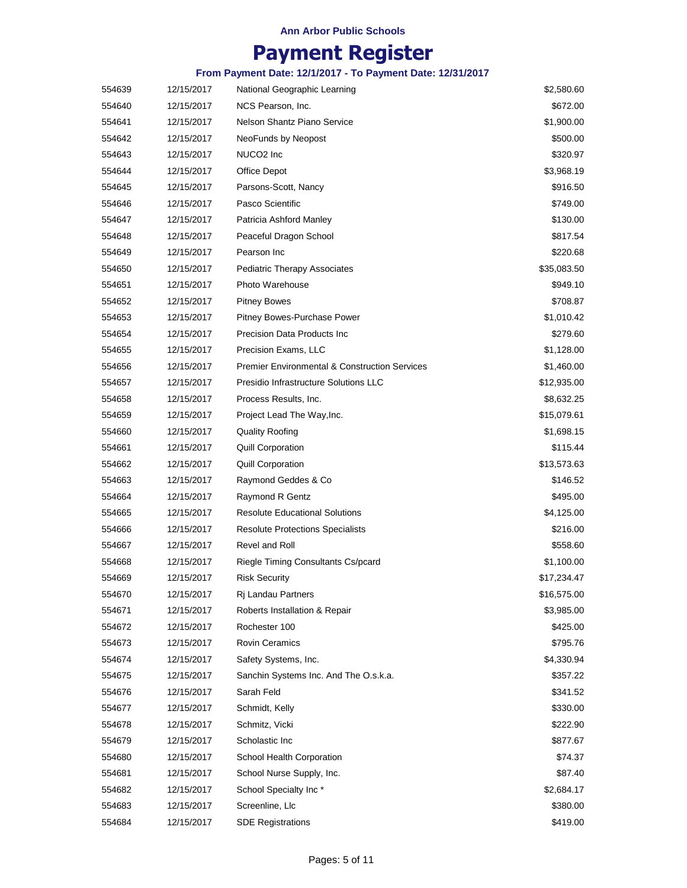# **Payment Register**

| 554639 | 12/15/2017 | National Geographic Learning                             | \$2,580.60  |
|--------|------------|----------------------------------------------------------|-------------|
| 554640 | 12/15/2017 | NCS Pearson, Inc.                                        | \$672.00    |
| 554641 | 12/15/2017 | Nelson Shantz Piano Service                              | \$1,900.00  |
| 554642 | 12/15/2017 | NeoFunds by Neopost                                      | \$500.00    |
| 554643 | 12/15/2017 | NUCO2 Inc                                                | \$320.97    |
| 554644 | 12/15/2017 | Office Depot                                             | \$3,968.19  |
| 554645 | 12/15/2017 | Parsons-Scott, Nancy                                     | \$916.50    |
| 554646 | 12/15/2017 | Pasco Scientific                                         | \$749.00    |
| 554647 | 12/15/2017 | Patricia Ashford Manley                                  | \$130.00    |
| 554648 | 12/15/2017 | Peaceful Dragon School                                   | \$817.54    |
| 554649 | 12/15/2017 | Pearson Inc                                              | \$220.68    |
| 554650 | 12/15/2017 | <b>Pediatric Therapy Associates</b>                      | \$35,083.50 |
| 554651 | 12/15/2017 | Photo Warehouse                                          | \$949.10    |
| 554652 | 12/15/2017 | <b>Pitney Bowes</b>                                      | \$708.87    |
| 554653 | 12/15/2017 | Pitney Bowes-Purchase Power                              | \$1,010.42  |
| 554654 | 12/15/2017 | <b>Precision Data Products Inc</b>                       | \$279.60    |
| 554655 | 12/15/2017 | Precision Exams, LLC                                     | \$1,128.00  |
| 554656 | 12/15/2017 | <b>Premier Environmental &amp; Construction Services</b> | \$1,460.00  |
| 554657 | 12/15/2017 | Presidio Infrastructure Solutions LLC                    | \$12,935.00 |
| 554658 | 12/15/2017 | Process Results, Inc.                                    | \$8,632.25  |
| 554659 | 12/15/2017 | Project Lead The Way, Inc.                               | \$15,079.61 |
| 554660 | 12/15/2017 | Quality Roofing                                          | \$1,698.15  |
| 554661 | 12/15/2017 | <b>Quill Corporation</b>                                 | \$115.44    |
| 554662 | 12/15/2017 | <b>Quill Corporation</b>                                 | \$13,573.63 |
| 554663 | 12/15/2017 | Raymond Geddes & Co                                      | \$146.52    |
| 554664 | 12/15/2017 | Raymond R Gentz                                          | \$495.00    |
| 554665 | 12/15/2017 | <b>Resolute Educational Solutions</b>                    | \$4,125.00  |
| 554666 | 12/15/2017 | <b>Resolute Protections Specialists</b>                  | \$216.00    |
| 554667 | 12/15/2017 | Revel and Roll                                           | \$558.60    |
| 554668 | 12/15/2017 | Riegle Timing Consultants Cs/pcard                       | \$1,100.00  |
| 554669 | 12/15/2017 | <b>Risk Security</b>                                     | \$17,234.47 |
| 554670 | 12/15/2017 | Rj Landau Partners                                       | \$16,575.00 |
| 554671 | 12/15/2017 | Roberts Installation & Repair                            | \$3,985.00  |
| 554672 | 12/15/2017 | Rochester 100                                            | \$425.00    |
| 554673 | 12/15/2017 | Rovin Ceramics                                           | \$795.76    |
| 554674 | 12/15/2017 | Safety Systems, Inc.                                     | \$4,330.94  |
| 554675 | 12/15/2017 | Sanchin Systems Inc. And The O.s.k.a.                    | \$357.22    |
| 554676 | 12/15/2017 | Sarah Feld                                               | \$341.52    |
| 554677 | 12/15/2017 | Schmidt, Kelly                                           | \$330.00    |
| 554678 | 12/15/2017 | Schmitz, Vicki                                           | \$222.90    |
| 554679 | 12/15/2017 | Scholastic Inc                                           | \$877.67    |
| 554680 | 12/15/2017 | School Health Corporation                                | \$74.37     |
| 554681 | 12/15/2017 | School Nurse Supply, Inc.                                | \$87.40     |
| 554682 | 12/15/2017 | School Specialty Inc*                                    | \$2,684.17  |
| 554683 | 12/15/2017 | Screenline, Llc                                          | \$380.00    |
| 554684 | 12/15/2017 | <b>SDE Registrations</b>                                 | \$419.00    |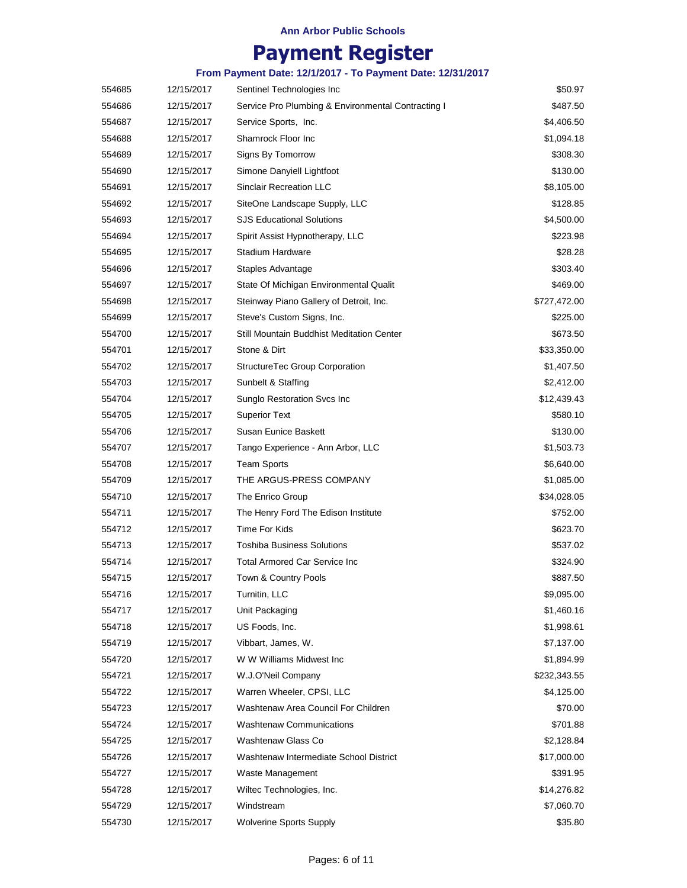# **Payment Register**

| 554685 | 12/15/2017 | Sentinel Technologies Inc                          | \$50.97      |
|--------|------------|----------------------------------------------------|--------------|
| 554686 | 12/15/2017 | Service Pro Plumbing & Environmental Contracting I | \$487.50     |
| 554687 | 12/15/2017 | Service Sports, Inc.                               | \$4,406.50   |
| 554688 | 12/15/2017 | Shamrock Floor Inc                                 | \$1,094.18   |
| 554689 | 12/15/2017 | Signs By Tomorrow                                  | \$308.30     |
| 554690 | 12/15/2017 | Simone Danyiell Lightfoot                          | \$130.00     |
| 554691 | 12/15/2017 | <b>Sinclair Recreation LLC</b>                     | \$8,105.00   |
| 554692 | 12/15/2017 | SiteOne Landscape Supply, LLC                      | \$128.85     |
| 554693 | 12/15/2017 | <b>SJS Educational Solutions</b>                   | \$4,500.00   |
| 554694 | 12/15/2017 | Spirit Assist Hypnotherapy, LLC                    | \$223.98     |
| 554695 | 12/15/2017 | Stadium Hardware                                   | \$28.28      |
| 554696 | 12/15/2017 | Staples Advantage                                  | \$303.40     |
| 554697 | 12/15/2017 | State Of Michigan Environmental Qualit             | \$469.00     |
| 554698 | 12/15/2017 | Steinway Piano Gallery of Detroit, Inc.            | \$727,472.00 |
| 554699 | 12/15/2017 | Steve's Custom Signs, Inc.                         | \$225.00     |
| 554700 | 12/15/2017 | Still Mountain Buddhist Meditation Center          | \$673.50     |
| 554701 | 12/15/2017 | Stone & Dirt                                       | \$33,350.00  |
| 554702 | 12/15/2017 | StructureTec Group Corporation                     | \$1,407.50   |
| 554703 | 12/15/2017 | Sunbelt & Staffing                                 | \$2,412.00   |
| 554704 | 12/15/2017 | Sunglo Restoration Svcs Inc                        | \$12,439.43  |
| 554705 | 12/15/2017 | <b>Superior Text</b>                               | \$580.10     |
| 554706 | 12/15/2017 | Susan Eunice Baskett                               | \$130.00     |
| 554707 | 12/15/2017 | Tango Experience - Ann Arbor, LLC                  | \$1,503.73   |
| 554708 | 12/15/2017 | Team Sports                                        | \$6,640.00   |
| 554709 | 12/15/2017 | THE ARGUS-PRESS COMPANY                            | \$1,085.00   |
| 554710 | 12/15/2017 | The Enrico Group                                   | \$34,028.05  |
| 554711 | 12/15/2017 | The Henry Ford The Edison Institute                | \$752.00     |
| 554712 | 12/15/2017 | Time For Kids                                      | \$623.70     |
| 554713 | 12/15/2017 | <b>Toshiba Business Solutions</b>                  | \$537.02     |
| 554714 | 12/15/2017 | Total Armored Car Service Inc                      | \$324.90     |
| 554715 | 12/15/2017 | Town & Country Pools                               | \$887.50     |
| 554716 | 12/15/2017 | Turnitin, LLC                                      | \$9,095.00   |
| 554717 | 12/15/2017 | Unit Packaging                                     | \$1,460.16   |
| 554718 | 12/15/2017 | US Foods, Inc.                                     | \$1,998.61   |
| 554719 | 12/15/2017 | Vibbart, James, W.                                 | \$7,137.00   |
| 554720 | 12/15/2017 | W W Williams Midwest Inc                           | \$1,894.99   |
| 554721 | 12/15/2017 | W.J.O'Neil Company                                 | \$232,343.55 |
| 554722 | 12/15/2017 | Warren Wheeler, CPSI, LLC                          | \$4,125.00   |
| 554723 | 12/15/2017 | Washtenaw Area Council For Children                | \$70.00      |
| 554724 | 12/15/2017 | <b>Washtenaw Communications</b>                    | \$701.88     |
| 554725 | 12/15/2017 | Washtenaw Glass Co                                 | \$2,128.84   |
| 554726 | 12/15/2017 | Washtenaw Intermediate School District             | \$17,000.00  |
| 554727 | 12/15/2017 | Waste Management                                   | \$391.95     |
| 554728 | 12/15/2017 | Wiltec Technologies, Inc.                          | \$14,276.82  |
| 554729 | 12/15/2017 | Windstream                                         | \$7,060.70   |
| 554730 | 12/15/2017 | <b>Wolverine Sports Supply</b>                     | \$35.80      |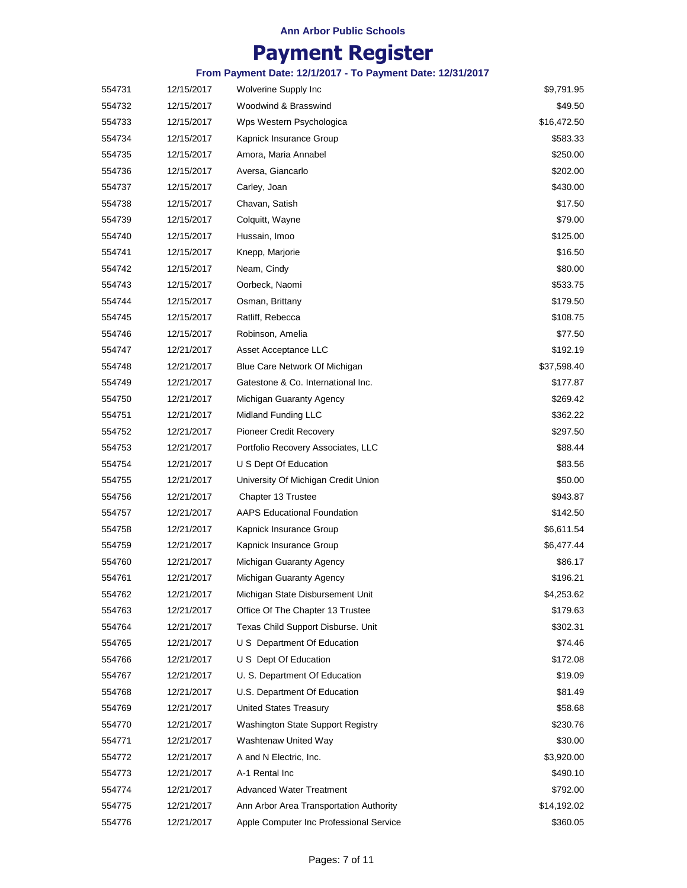# **Payment Register**

| 554731 | 12/15/2017 | Wolverine Supply Inc                    | \$9,791.95  |
|--------|------------|-----------------------------------------|-------------|
| 554732 | 12/15/2017 | Woodwind & Brasswind                    | \$49.50     |
| 554733 | 12/15/2017 | Wps Western Psychologica                | \$16,472.50 |
| 554734 | 12/15/2017 | Kapnick Insurance Group                 | \$583.33    |
| 554735 | 12/15/2017 | Amora, Maria Annabel                    | \$250.00    |
| 554736 | 12/15/2017 | Aversa, Giancarlo                       | \$202.00    |
| 554737 | 12/15/2017 | Carley, Joan                            | \$430.00    |
| 554738 | 12/15/2017 | Chavan, Satish                          | \$17.50     |
| 554739 | 12/15/2017 | Colquitt, Wayne                         | \$79.00     |
| 554740 | 12/15/2017 | Hussain, Imoo                           | \$125.00    |
| 554741 | 12/15/2017 | Knepp, Marjorie                         | \$16.50     |
| 554742 | 12/15/2017 | Neam, Cindy                             | \$80.00     |
| 554743 | 12/15/2017 | Oorbeck, Naomi                          | \$533.75    |
| 554744 | 12/15/2017 | Osman, Brittany                         | \$179.50    |
| 554745 | 12/15/2017 | Ratliff, Rebecca                        | \$108.75    |
| 554746 | 12/15/2017 | Robinson, Amelia                        | \$77.50     |
| 554747 | 12/21/2017 | Asset Acceptance LLC                    | \$192.19    |
| 554748 | 12/21/2017 | Blue Care Network Of Michigan           | \$37,598.40 |
| 554749 | 12/21/2017 | Gatestone & Co. International Inc.      | \$177.87    |
| 554750 | 12/21/2017 | Michigan Guaranty Agency                | \$269.42    |
| 554751 | 12/21/2017 | Midland Funding LLC                     | \$362.22    |
| 554752 | 12/21/2017 | <b>Pioneer Credit Recovery</b>          | \$297.50    |
| 554753 | 12/21/2017 | Portfolio Recovery Associates, LLC      | \$88.44     |
| 554754 | 12/21/2017 | U S Dept Of Education                   | \$83.56     |
| 554755 | 12/21/2017 | University Of Michigan Credit Union     | \$50.00     |
| 554756 | 12/21/2017 | Chapter 13 Trustee                      | \$943.87    |
| 554757 | 12/21/2017 | <b>AAPS Educational Foundation</b>      | \$142.50    |
| 554758 | 12/21/2017 | Kapnick Insurance Group                 | \$6,611.54  |
| 554759 | 12/21/2017 | Kapnick Insurance Group                 | \$6,477.44  |
| 554760 | 12/21/2017 | Michigan Guaranty Agency                | \$86.17     |
| 554761 | 12/21/2017 | Michigan Guaranty Agency                | \$196.21    |
| 554762 | 12/21/2017 | Michigan State Disbursement Unit        | \$4,253.62  |
| 554763 | 12/21/2017 | Office Of The Chapter 13 Trustee        | \$179.63    |
| 554764 | 12/21/2017 | Texas Child Support Disburse. Unit      | \$302.31    |
| 554765 | 12/21/2017 | U S Department Of Education             | \$74.46     |
| 554766 | 12/21/2017 | U S Dept Of Education                   | \$172.08    |
| 554767 | 12/21/2017 | U. S. Department Of Education           | \$19.09     |
| 554768 | 12/21/2017 | U.S. Department Of Education            | \$81.49     |
| 554769 | 12/21/2017 | <b>United States Treasury</b>           | \$58.68     |
| 554770 | 12/21/2017 | Washington State Support Registry       | \$230.76    |
| 554771 | 12/21/2017 | Washtenaw United Way                    | \$30.00     |
| 554772 | 12/21/2017 | A and N Electric, Inc.                  | \$3,920.00  |
| 554773 | 12/21/2017 | A-1 Rental Inc                          | \$490.10    |
| 554774 | 12/21/2017 | <b>Advanced Water Treatment</b>         | \$792.00    |
| 554775 | 12/21/2017 | Ann Arbor Area Transportation Authority | \$14,192.02 |
| 554776 | 12/21/2017 | Apple Computer Inc Professional Service | \$360.05    |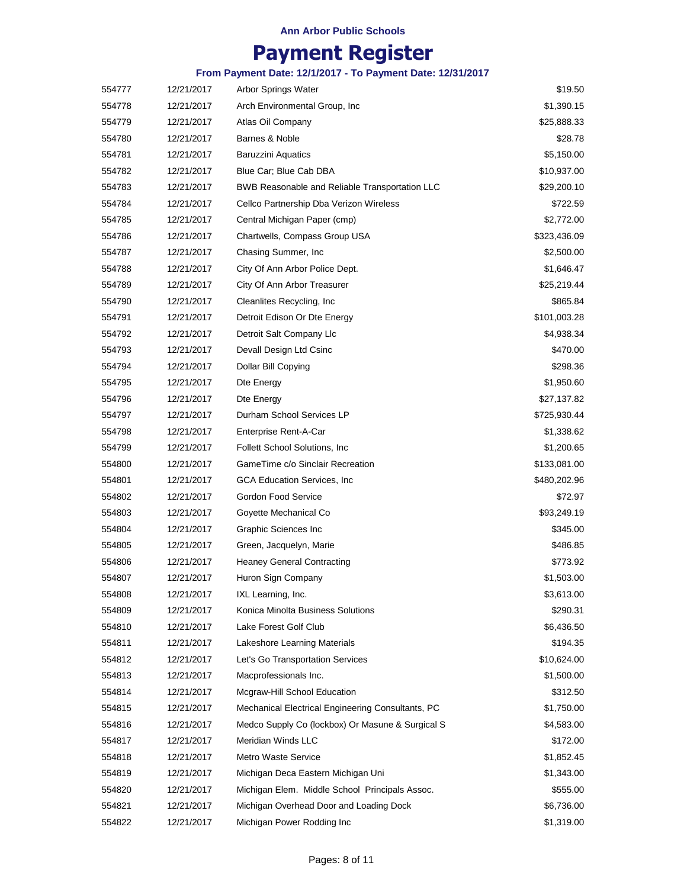# **Payment Register**

| 554777 | 12/21/2017 | Arbor Springs Water                               | \$19.50      |
|--------|------------|---------------------------------------------------|--------------|
| 554778 | 12/21/2017 | Arch Environmental Group, Inc.                    | \$1,390.15   |
| 554779 | 12/21/2017 | Atlas Oil Company                                 | \$25,888.33  |
| 554780 | 12/21/2017 | Barnes & Noble                                    | \$28.78      |
| 554781 | 12/21/2017 | <b>Baruzzini Aquatics</b>                         | \$5,150.00   |
| 554782 | 12/21/2017 | Blue Car; Blue Cab DBA                            | \$10,937.00  |
| 554783 | 12/21/2017 | BWB Reasonable and Reliable Transportation LLC    | \$29,200.10  |
| 554784 | 12/21/2017 | Cellco Partnership Dba Verizon Wireless           | \$722.59     |
| 554785 | 12/21/2017 | Central Michigan Paper (cmp)                      | \$2,772.00   |
| 554786 | 12/21/2017 | Chartwells, Compass Group USA                     | \$323,436.09 |
| 554787 | 12/21/2017 | Chasing Summer, Inc.                              | \$2,500.00   |
| 554788 | 12/21/2017 | City Of Ann Arbor Police Dept.                    | \$1,646.47   |
| 554789 | 12/21/2017 | City Of Ann Arbor Treasurer                       | \$25,219.44  |
| 554790 | 12/21/2017 | Cleanlites Recycling, Inc.                        | \$865.84     |
| 554791 | 12/21/2017 | Detroit Edison Or Dte Energy                      | \$101,003.28 |
| 554792 | 12/21/2017 | Detroit Salt Company Llc                          | \$4,938.34   |
| 554793 | 12/21/2017 | Devall Design Ltd Csinc                           | \$470.00     |
| 554794 | 12/21/2017 | Dollar Bill Copying                               | \$298.36     |
| 554795 | 12/21/2017 | Dte Energy                                        | \$1,950.60   |
| 554796 | 12/21/2017 | Dte Energy                                        | \$27,137.82  |
| 554797 | 12/21/2017 | Durham School Services LP                         | \$725,930.44 |
| 554798 | 12/21/2017 | Enterprise Rent-A-Car                             | \$1,338.62   |
| 554799 | 12/21/2017 | Follett School Solutions, Inc.                    | \$1,200.65   |
| 554800 | 12/21/2017 | GameTime c/o Sinclair Recreation                  | \$133,081.00 |
| 554801 | 12/21/2017 | <b>GCA Education Services, Inc.</b>               | \$480,202.96 |
| 554802 | 12/21/2017 | Gordon Food Service                               | \$72.97      |
| 554803 | 12/21/2017 | Goyette Mechanical Co                             | \$93,249.19  |
| 554804 | 12/21/2017 | Graphic Sciences Inc                              | \$345.00     |
| 554805 | 12/21/2017 | Green, Jacquelyn, Marie                           | \$486.85     |
| 554806 | 12/21/2017 | <b>Heaney General Contracting</b>                 | \$773.92     |
| 554807 | 12/21/2017 | Huron Sign Company                                | \$1,503.00   |
| 554808 | 12/21/2017 | IXL Learning, Inc.                                | \$3,613.00   |
| 554809 | 12/21/2017 | Konica Minolta Business Solutions                 | \$290.31     |
| 554810 | 12/21/2017 | Lake Forest Golf Club                             | \$6,436.50   |
| 554811 | 12/21/2017 | Lakeshore Learning Materials                      | \$194.35     |
| 554812 | 12/21/2017 | Let's Go Transportation Services                  | \$10,624.00  |
| 554813 | 12/21/2017 | Macprofessionals Inc.                             | \$1,500.00   |
| 554814 | 12/21/2017 | Mcgraw-Hill School Education                      | \$312.50     |
| 554815 | 12/21/2017 | Mechanical Electrical Engineering Consultants, PC | \$1,750.00   |
| 554816 | 12/21/2017 | Medco Supply Co (lockbox) Or Masune & Surgical S  | \$4,583.00   |
| 554817 | 12/21/2017 | Meridian Winds LLC                                | \$172.00     |
| 554818 | 12/21/2017 | Metro Waste Service                               | \$1,852.45   |
| 554819 | 12/21/2017 | Michigan Deca Eastern Michigan Uni                | \$1,343.00   |
| 554820 | 12/21/2017 | Michigan Elem. Middle School Principals Assoc.    | \$555.00     |
| 554821 | 12/21/2017 | Michigan Overhead Door and Loading Dock           | \$6,736.00   |
| 554822 | 12/21/2017 | Michigan Power Rodding Inc                        | \$1,319.00   |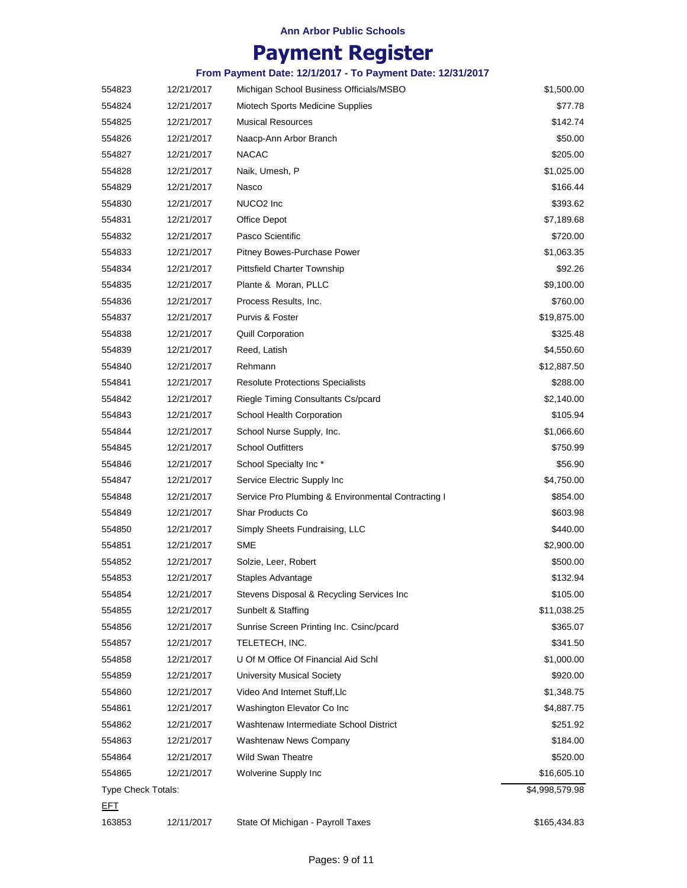# **Payment Register**

| 554823             | 12/21/2017 | Michigan School Business Officials/MSBO            | \$1,500.00     |
|--------------------|------------|----------------------------------------------------|----------------|
| 554824             | 12/21/2017 | Miotech Sports Medicine Supplies                   | \$77.78        |
| 554825             | 12/21/2017 | <b>Musical Resources</b>                           | \$142.74       |
| 554826             | 12/21/2017 | Naacp-Ann Arbor Branch                             | \$50.00        |
| 554827             | 12/21/2017 | <b>NACAC</b>                                       | \$205.00       |
| 554828             | 12/21/2017 | Naik, Umesh, P                                     | \$1,025.00     |
| 554829             | 12/21/2017 | Nasco                                              | \$166.44       |
| 554830             | 12/21/2017 | NUCO <sub>2</sub> Inc                              | \$393.62       |
| 554831             | 12/21/2017 | Office Depot                                       | \$7,189.68     |
| 554832             | 12/21/2017 | Pasco Scientific                                   | \$720.00       |
| 554833             | 12/21/2017 | Pitney Bowes-Purchase Power                        | \$1,063.35     |
| 554834             | 12/21/2017 | <b>Pittsfield Charter Township</b>                 | \$92.26        |
| 554835             | 12/21/2017 | Plante & Moran, PLLC                               | \$9,100.00     |
| 554836             | 12/21/2017 | Process Results, Inc.                              | \$760.00       |
| 554837             | 12/21/2017 | Purvis & Foster                                    | \$19,875.00    |
| 554838             | 12/21/2017 | <b>Quill Corporation</b>                           | \$325.48       |
| 554839             | 12/21/2017 | Reed, Latish                                       | \$4,550.60     |
| 554840             | 12/21/2017 | Rehmann                                            | \$12,887.50    |
| 554841             | 12/21/2017 | <b>Resolute Protections Specialists</b>            | \$288.00       |
| 554842             | 12/21/2017 | Riegle Timing Consultants Cs/pcard                 | \$2,140.00     |
| 554843             | 12/21/2017 | School Health Corporation                          | \$105.94       |
| 554844             | 12/21/2017 | School Nurse Supply, Inc.                          | \$1,066.60     |
| 554845             | 12/21/2017 | <b>School Outfitters</b>                           | \$750.99       |
| 554846             | 12/21/2017 | School Specialty Inc*                              | \$56.90        |
| 554847             | 12/21/2017 | Service Electric Supply Inc                        | \$4,750.00     |
| 554848             | 12/21/2017 | Service Pro Plumbing & Environmental Contracting I | \$854.00       |
| 554849             | 12/21/2017 | Shar Products Co                                   | \$603.98       |
| 554850             | 12/21/2017 | Simply Sheets Fundraising, LLC                     | \$440.00       |
| 554851             | 12/21/2017 | <b>SME</b>                                         | \$2,900.00     |
| 554852             | 12/21/2017 | Solzie, Leer, Robert                               | \$500.00       |
| 554853             | 12/21/2017 | Staples Advantage                                  | \$132.94       |
| 554854             | 12/21/2017 | Stevens Disposal & Recycling Services Inc          | \$105.00       |
| 554855             | 12/21/2017 | Sunbelt & Staffing                                 | \$11,038.25    |
| 554856             | 12/21/2017 | Sunrise Screen Printing Inc. Csinc/pcard           | \$365.07       |
| 554857             | 12/21/2017 | TELETECH, INC.                                     | \$341.50       |
| 554858             | 12/21/2017 | U Of M Office Of Financial Aid Schl                | \$1,000.00     |
| 554859             | 12/21/2017 | <b>University Musical Society</b>                  | \$920.00       |
| 554860             | 12/21/2017 | Video And Internet Stuff, Llc                      | \$1,348.75     |
| 554861             | 12/21/2017 | Washington Elevator Co Inc                         | \$4,887.75     |
| 554862             | 12/21/2017 | Washtenaw Intermediate School District             | \$251.92       |
| 554863             | 12/21/2017 | Washtenaw News Company                             | \$184.00       |
| 554864             | 12/21/2017 | <b>Wild Swan Theatre</b>                           | \$520.00       |
| 554865             | 12/21/2017 | Wolverine Supply Inc                               | \$16,605.10    |
| Type Check Totals: |            |                                                    | \$4,998,579.98 |
| <u>EFT</u>         |            |                                                    |                |
| 163853             | 12/11/2017 | State Of Michigan - Payroll Taxes                  | \$165,434.83   |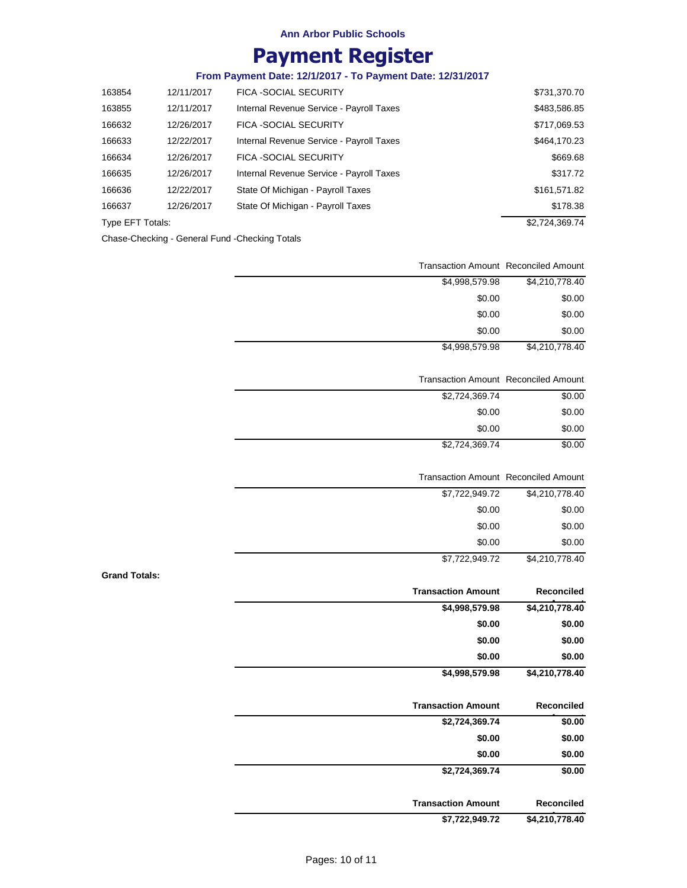# **Payment Register**

## **From Payment Date: 12/1/2017 - To Payment Date: 12/31/2017**

| 163854           | 12/11/2017 | <b>FICA -SOCIAL SECURITY</b>             | \$731,370.70   |
|------------------|------------|------------------------------------------|----------------|
| 163855           | 12/11/2017 | Internal Revenue Service - Payroll Taxes | \$483,586.85   |
| 166632           | 12/26/2017 | <b>FICA -SOCIAL SECURITY</b>             | \$717,069.53   |
| 166633           | 12/22/2017 | Internal Revenue Service - Payroll Taxes | \$464,170.23   |
| 166634           | 12/26/2017 | <b>FICA -SOCIAL SECURITY</b>             | \$669.68       |
| 166635           | 12/26/2017 | Internal Revenue Service - Payroll Taxes | \$317.72       |
| 166636           | 12/22/2017 | State Of Michigan - Payroll Taxes        | \$161,571.82   |
| 166637           | 12/26/2017 | State Of Michigan - Payroll Taxes        | \$178.38       |
| Type EFT Totals: |            |                                          | \$2,724,369.74 |
|                  |            |                                          |                |

Chase-Checking - General Fund -Checking Totals

| <b>Transaction Amount Reconciled Amount</b> |                |
|---------------------------------------------|----------------|
| \$4,998,579.98                              | \$4,210,778.40 |
| \$0.00                                      | \$0.00         |
| \$0.00                                      | \$0.00         |
| \$0.00                                      | \$0.00         |
| \$4,998,579.98                              | \$4,210,778.40 |

#### Transaction Amount Reconciled Amount

\$4,210,778.40 \$7,722,949.72

| \$2,724,369.74 | \$0.00 |
|----------------|--------|
| \$0.00         | \$0.00 |
| \$0.00         | \$0.00 |
| \$2,724,369.74 | \$0.00 |

| <b>Transaction Amount Reconciled Amount</b> |                |
|---------------------------------------------|----------------|
| \$7,722,949.72                              | \$4,210,778.40 |
| \$0.00                                      | \$0.00         |
| \$0.00                                      | \$0.00         |
| \$0.00                                      | \$0.00         |

**Grand Totals:**

| <b>Reconciled</b> | <b>Transaction Amount</b> |
|-------------------|---------------------------|
| \$4,210,778.40    | \$4,998,579.98            |
| \$0.00            | \$0.00                    |
| \$0.00            | \$0.00                    |
| \$0.00            | \$0.00                    |
| \$4,210,778.40    | \$4,998,579.98            |

| <b>Transaction Amount</b> | Reconciled |
|---------------------------|------------|
| \$2,724,369.74            | \$0.00     |
| \$0.00                    | \$0.00     |
| \$0.00                    | \$0.00     |
| \$2,724,369.74            | \$0.00     |
| <b>Transaction Amount</b> | Reconciled |

**Amount \$7,722,949.72 \$4,210,778.40**